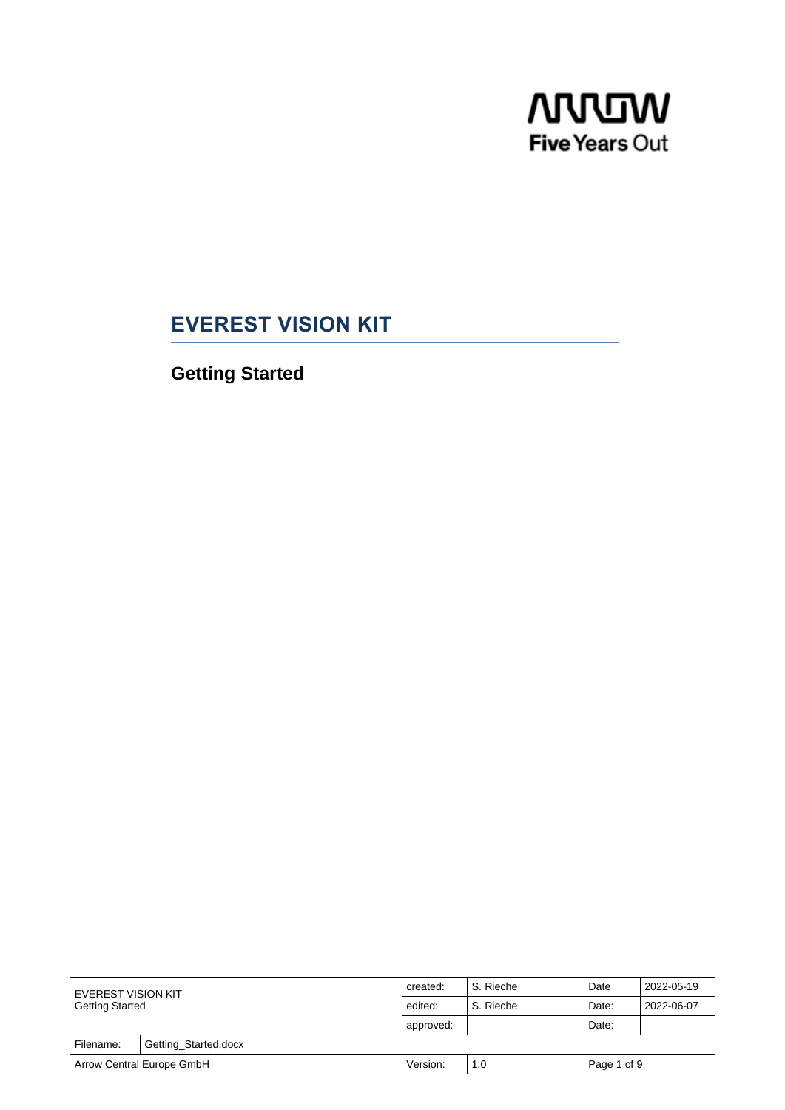

# **EVEREST VISION KIT**

**Getting Started**

| I EVEREST VISION KIT<br>Getting Started |                      | created:  | S. Rieche | Date        | 2022-05-19 |  |  |  |
|-----------------------------------------|----------------------|-----------|-----------|-------------|------------|--|--|--|
|                                         |                      | edited:   | S. Rieche | Date:       | 2022-06-07 |  |  |  |
|                                         |                      | approved: |           | Date:       |            |  |  |  |
| Filename:                               | Getting_Started.docx |           |           |             |            |  |  |  |
| Arrow Central Europe GmbH               |                      | Version:  | 1.0       | Page 1 of 9 |            |  |  |  |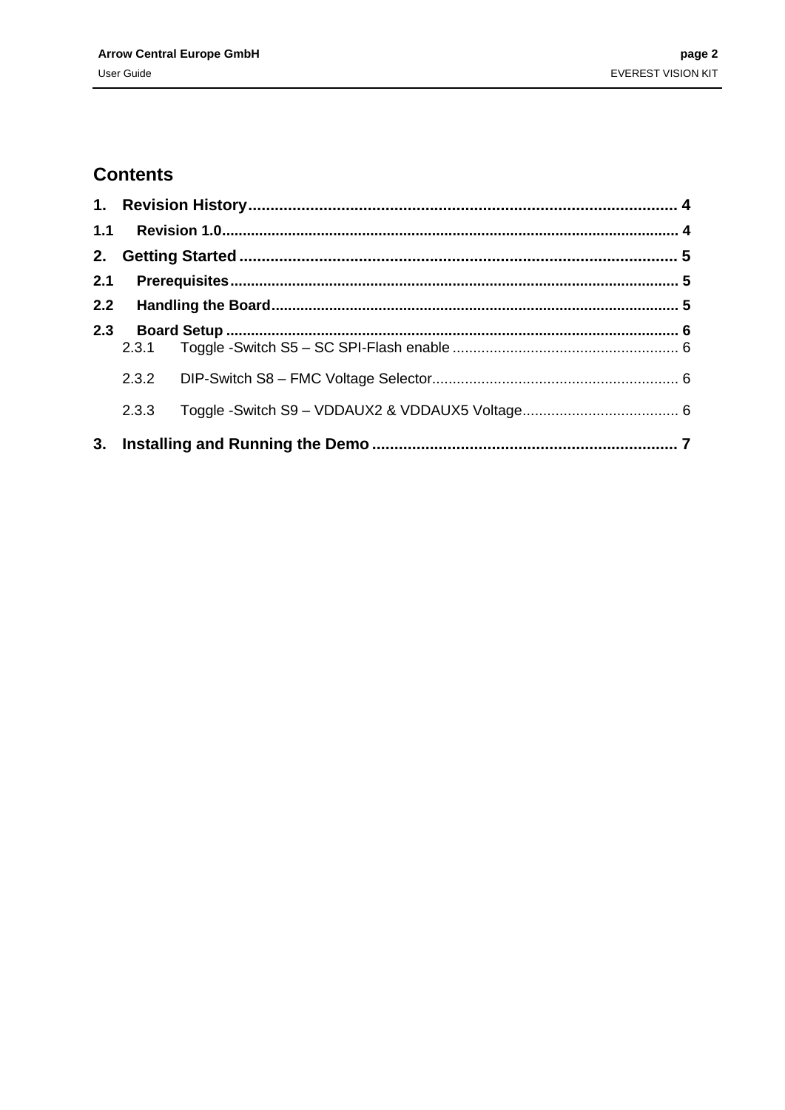## **Contents**

| 2.  |       |  |
|-----|-------|--|
| 2.1 |       |  |
|     |       |  |
| 2.3 |       |  |
|     | 2.3.1 |  |
|     |       |  |
|     | 2.3.3 |  |
| 3.  |       |  |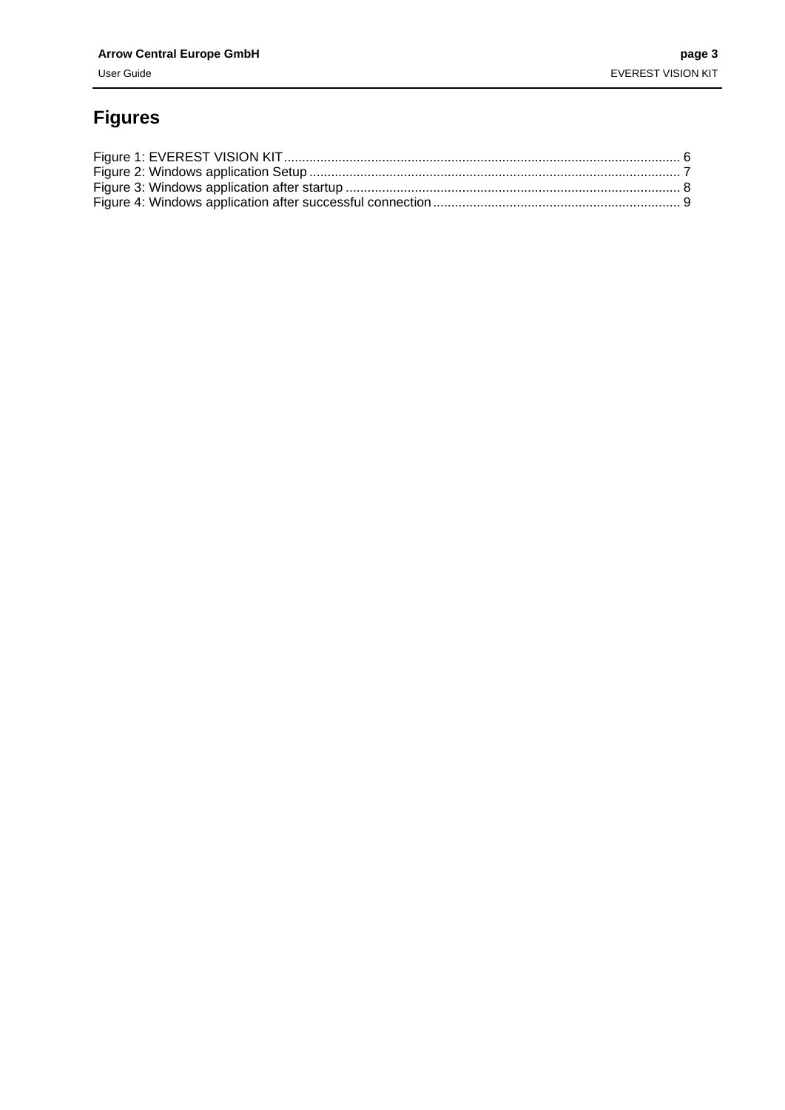# **Figures**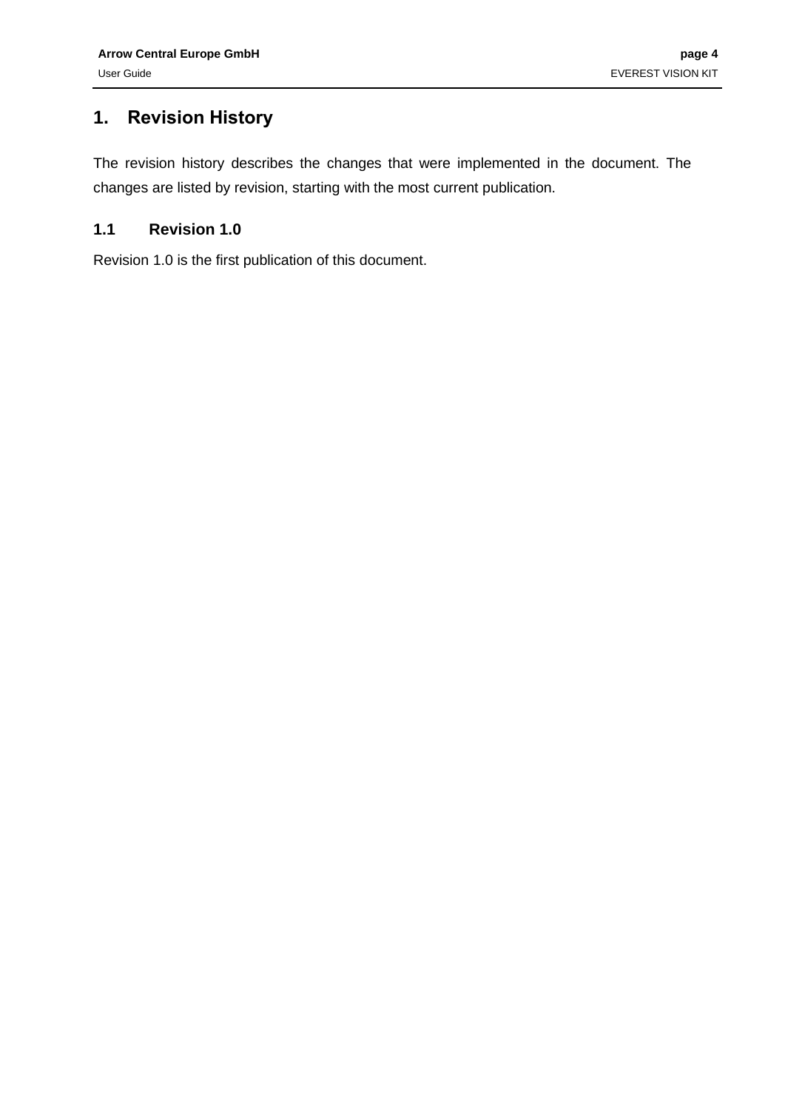### <span id="page-3-0"></span>**1. Revision History**

The revision history describes the changes that were implemented in the document. The changes are listed by revision, starting with the most current publication.

#### <span id="page-3-1"></span>**1.1 Revision 1.0**

Revision 1.0 is the first publication of this document.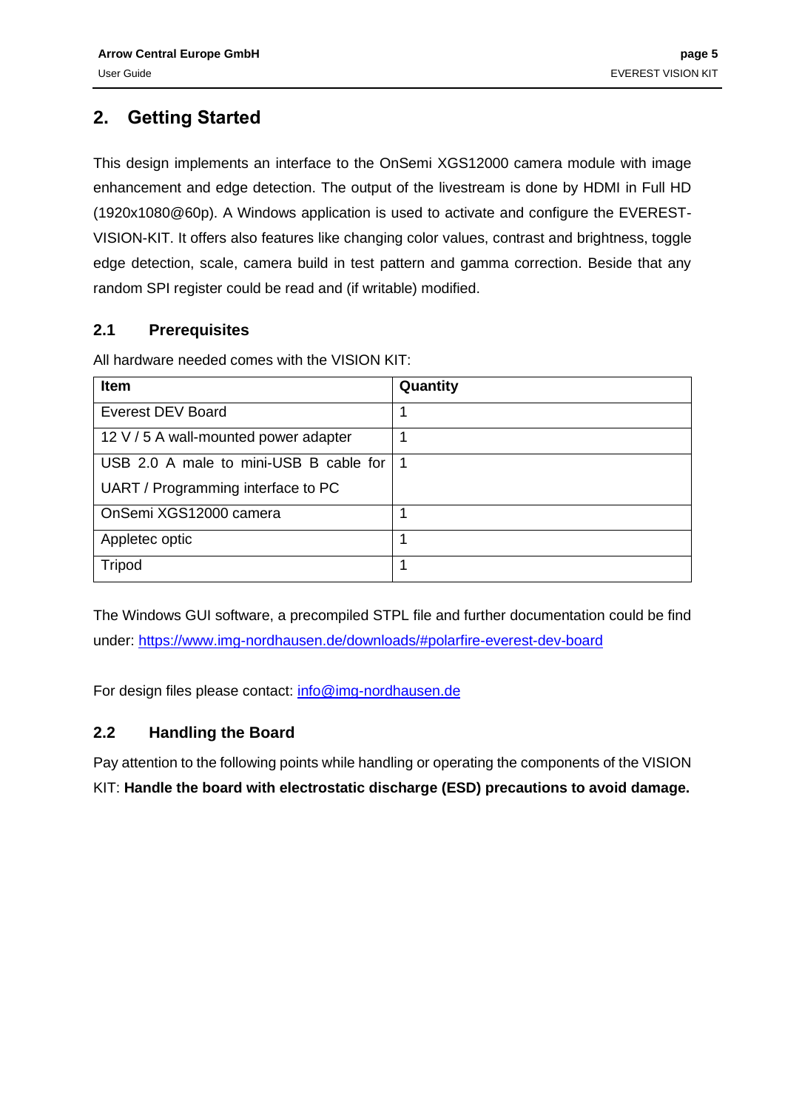## <span id="page-4-0"></span>**2. Getting Started**

This design implements an interface to the OnSemi XGS12000 camera module with image enhancement and edge detection. The output of the livestream is done by HDMI in Full HD (1920x1080@60p). A Windows application is used to activate and configure the EVEREST-VISION-KIT. It offers also features like changing color values, contrast and brightness, toggle edge detection, scale, camera build in test pattern and gamma correction. Beside that any random SPI register could be read and (if writable) modified.

### <span id="page-4-1"></span>**2.1 Prerequisites**

All hardware needed comes with the VISION KIT:

| Item                                       | Quantity |
|--------------------------------------------|----------|
| <b>Everest DEV Board</b>                   |          |
| 12 V / 5 A wall-mounted power adapter      |          |
| USB 2.0 A male to mini-USB B cable for   1 |          |
| UART / Programming interface to PC         |          |
| OnSemi XGS12000 camera                     |          |
| Appletec optic                             |          |
| <b>Tripod</b>                              |          |

The Windows GUI software, a precompiled STPL file and further documentation could be find under: [https://www.img-nordhausen.de/downloads/#polarfire-everest-dev-board](https://www.img-nordhausen.de/downloads/%23polarfire-everest-dev-board)

For design files please contact:<info@img-nordhausen.de>

#### <span id="page-4-2"></span>**2.2 Handling the Board**

Pay attention to the following points while handling or operating the components of the VISION KIT: **Handle the board with electrostatic discharge (ESD) precautions to avoid damage.**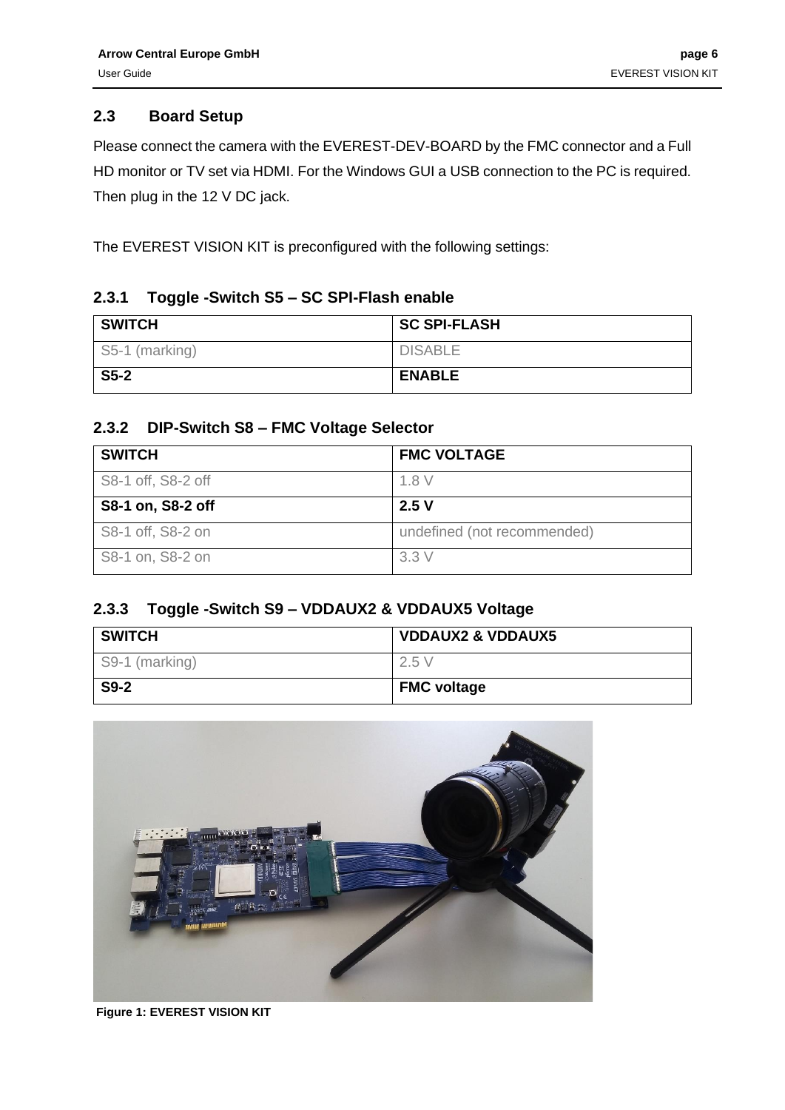#### <span id="page-5-0"></span>**2.3 Board Setup**

Please connect the camera with the EVEREST-DEV-BOARD by the FMC connector and a Full HD monitor or TV set via HDMI. For the Windows GUI a USB connection to the PC is required. Then plug in the 12 V DC jack.

The EVEREST VISION KIT is preconfigured with the following settings:

#### <span id="page-5-1"></span>**2.3.1 Toggle -Switch S5 – SC SPI-Flash enable**

| <b>SWITCH</b>  | <b>SC SPI-FLASH</b> |
|----------------|---------------------|
| S5-1 (marking) | <b>DISABLE</b>      |
| $S5-2$         | <b>ENABLE</b>       |

### <span id="page-5-2"></span>**2.3.2 DIP-Switch S8 – FMC Voltage Selector**

| <b>SWITCH</b>      | <b>FMC VOLTAGE</b>          |  |  |
|--------------------|-----------------------------|--|--|
| S8-1 off, S8-2 off | 1.8V                        |  |  |
| S8-1 on, S8-2 off  | 2.5V                        |  |  |
| S8-1 off, S8-2 on  | undefined (not recommended) |  |  |
| S8-1 on, S8-2 on   | 3.3V                        |  |  |

#### <span id="page-5-3"></span>**2.3.3 Toggle -Switch S9 – VDDAUX2 & VDDAUX5 Voltage**

| <b>SWITCH</b>  | <b>VDDAUX2 &amp; VDDAUX5</b> |  |  |
|----------------|------------------------------|--|--|
| S9-1 (marking) | 2.5V                         |  |  |
| $S9-2$         | <b>FMC voltage</b>           |  |  |



**Figure 1: EVEREST VISION KIT**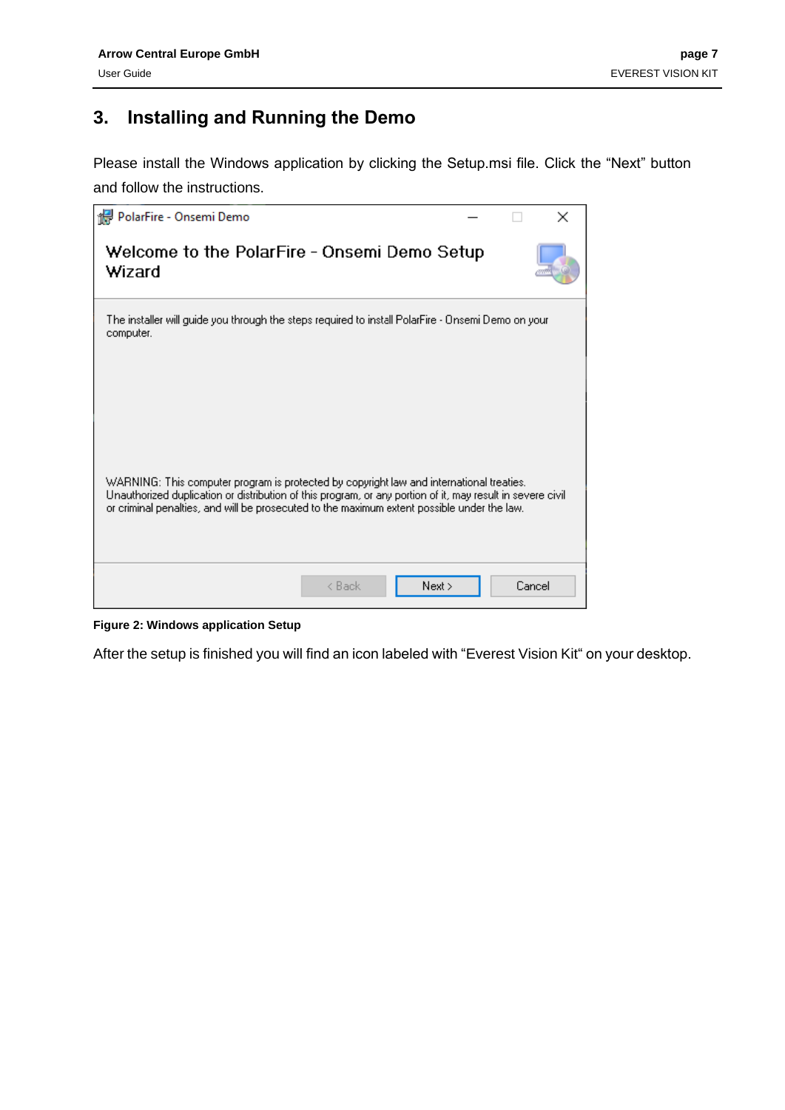### <span id="page-6-0"></span>**3. Installing and Running the Demo**

Please install the Windows application by clicking the Setup.msi file. Click the "Next" button and follow the instructions.



**Figure 2: Windows application Setup**

<span id="page-6-1"></span>After the setup is finished you will find an icon labeled with "Everest Vision Kit" on your desktop.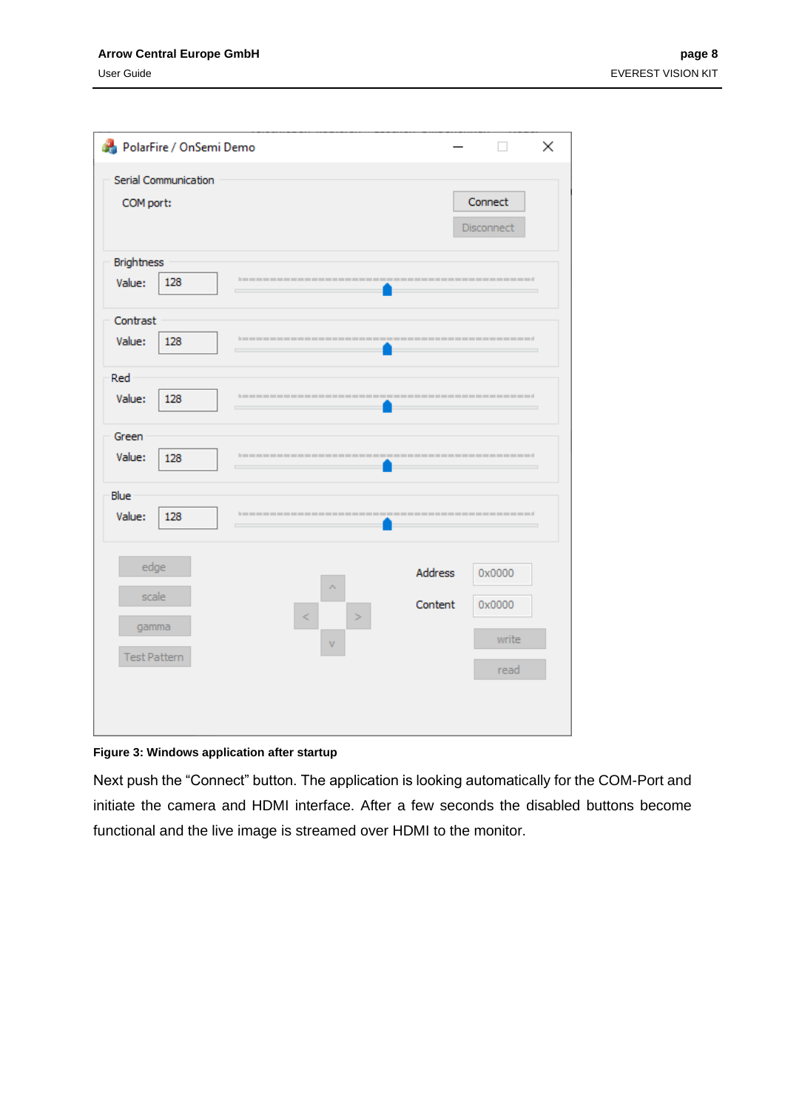#### **Arrow Central Europe GmbH page 8**

| PolarFire / OnSemi Demo                       |             |                           | ×                                 |
|-----------------------------------------------|-------------|---------------------------|-----------------------------------|
| Serial Communication<br>COM port:             |             |                           | Connect<br>Disconnect             |
| <b>Brightness</b><br>Value:<br>128            |             |                           |                                   |
| Contrast<br>Value:<br>128                     | ÷           |                           |                                   |
| Red<br>Value:<br>128                          |             |                           |                                   |
| Green<br>Value:<br>128                        |             |                           |                                   |
| Blue<br>Value:<br>128                         |             |                           |                                   |
| edge<br>scale<br>gamma<br><b>Test Pattern</b> | ٨<br>⋖<br>V | <b>Address</b><br>Content | 0x0000<br>0x0000<br>write<br>read |
|                                               |             |                           |                                   |

<span id="page-7-0"></span>**Figure 3: Windows application after startup**

Next push the "Connect" button. The application is looking automatically for the COM-Port and initiate the camera and HDMI interface. After a few seconds the disabled buttons become functional and the live image is streamed over HDMI to the monitor.